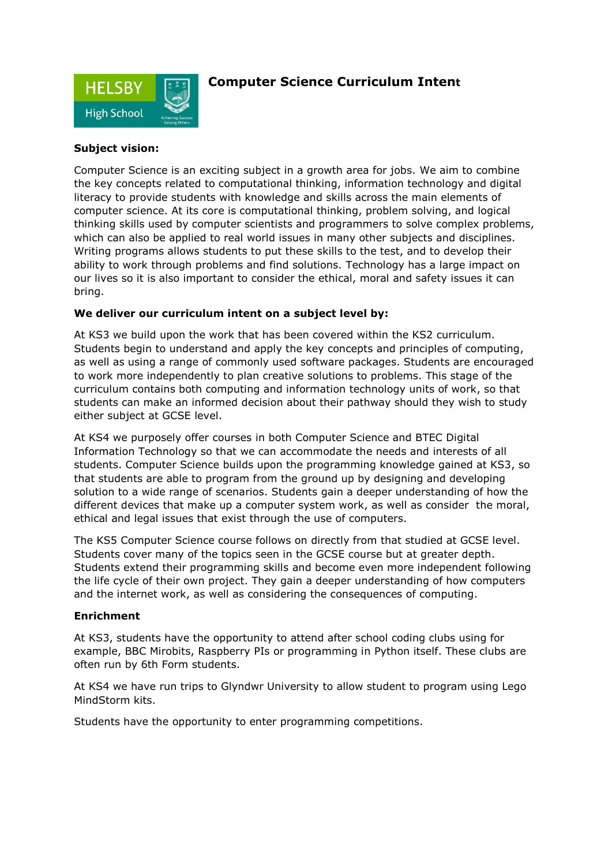

## **Computer Science Curriculum Intent**

### **Subject vision:**

Computer Science is an exciting subject in a growth area for jobs. We aim to combine the key concepts related to computational thinking, information technology and digital literacy to provide students with knowledge and skills across the main elements of computer science. At its core is computational thinking, problem solving, and logical thinking skills used by computer scientists and programmers to solve complex problems, which can also be applied to real world issues in many other subjects and disciplines. Writing programs allows students to put these skills to the test, and to develop their ability to work through problems and find solutions. Technology has a large impact on our lives so it is also important to consider the ethical, moral and safety issues it can bring.

#### **We deliver our curriculum intent on a subject level by:**

At KS3 we build upon the work that has been covered within the KS2 curriculum. Students begin to understand and apply the key concepts and principles of computing, as well as using a range of commonly used software packages. Students are encouraged to work more independently to plan creative solutions to problems. This stage of the curriculum contains both computing and information technology units of work, so that students can make an informed decision about their pathway should they wish to study either subject at GCSE level.

At KS4 we purposely offer courses in both Computer Science and BTEC Digital Information Technology so that we can accommodate the needs and interests of all students. Computer Science builds upon the programming knowledge gained at KS3, so that students are able to program from the ground up by designing and developing solution to a wide range of scenarios. Students gain a deeper understanding of how the different devices that make up a computer system work, as well as consider the moral, ethical and legal issues that exist through the use of computers.

The KS5 Computer Science course follows on directly from that studied at GCSE level. Students cover many of the topics seen in the GCSE course but at greater depth. Students extend their programming skills and become even more independent following the life cycle of their own project. They gain a deeper understanding of how computers and the internet work, as well as considering the consequences of computing.

#### **Enrichment**

At KS3, students have the opportunity to attend after school coding clubs using for example, BBC Mirobits, Raspberry PIs or programming in Python itself. These clubs are often run by 6th Form students.

At KS4 we have run trips to Glyndwr University to allow student to program using Lego MindStorm kits.

Students have the opportunity to enter programming competitions.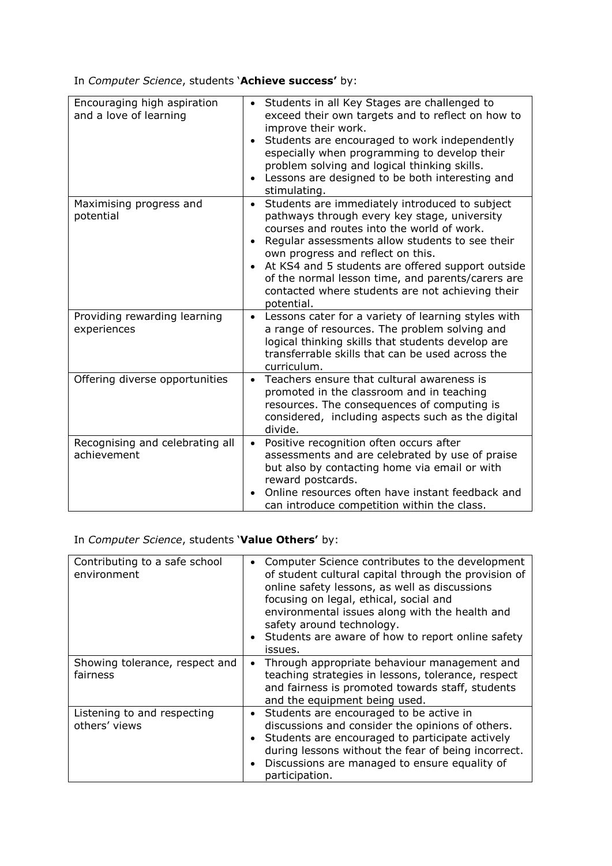In *Computer Science*, students '**Achieve success'** by:

| Encouraging high aspiration<br>and a love of learning | Students in all Key Stages are challenged to<br>exceed their own targets and to reflect on how to<br>improve their work.<br>Students are encouraged to work independently<br>$\bullet$<br>especially when programming to develop their<br>problem solving and logical thinking skills.<br>Lessons are designed to be both interesting and<br>$\bullet$<br>stimulating.                                                                     |
|-------------------------------------------------------|--------------------------------------------------------------------------------------------------------------------------------------------------------------------------------------------------------------------------------------------------------------------------------------------------------------------------------------------------------------------------------------------------------------------------------------------|
| Maximising progress and<br>potential                  | Students are immediately introduced to subject<br>$\bullet$<br>pathways through every key stage, university<br>courses and routes into the world of work.<br>Regular assessments allow students to see their<br>$\bullet$<br>own progress and reflect on this.<br>At KS4 and 5 students are offered support outside<br>of the normal lesson time, and parents/carers are<br>contacted where students are not achieving their<br>potential. |
| Providing rewarding learning<br>experiences           | Lessons cater for a variety of learning styles with<br>a range of resources. The problem solving and<br>logical thinking skills that students develop are<br>transferrable skills that can be used across the<br>curriculum.                                                                                                                                                                                                               |
| Offering diverse opportunities                        | Teachers ensure that cultural awareness is<br>$\bullet$<br>promoted in the classroom and in teaching<br>resources. The consequences of computing is<br>considered, including aspects such as the digital<br>divide.                                                                                                                                                                                                                        |
| Recognising and celebrating all<br>achievement        | Positive recognition often occurs after<br>$\bullet$<br>assessments and are celebrated by use of praise<br>but also by contacting home via email or with<br>reward postcards.<br>Online resources often have instant feedback and<br>can introduce competition within the class.                                                                                                                                                           |

# In *Computer Science*, students '**Value Others'** by:

| Contributing to a safe school<br>environment | Computer Science contributes to the development<br>of student cultural capital through the provision of<br>online safety lessons, as well as discussions<br>focusing on legal, ethical, social and<br>environmental issues along with the health and<br>safety around technology.<br>Students are aware of how to report online safety<br>issues. |
|----------------------------------------------|---------------------------------------------------------------------------------------------------------------------------------------------------------------------------------------------------------------------------------------------------------------------------------------------------------------------------------------------------|
| Showing tolerance, respect and<br>fairness   | Through appropriate behaviour management and<br>teaching strategies in lessons, tolerance, respect<br>and fairness is promoted towards staff, students<br>and the equipment being used.                                                                                                                                                           |
| Listening to and respecting<br>others' views | Students are encouraged to be active in<br>discussions and consider the opinions of others.<br>Students are encouraged to participate actively<br>during lessons without the fear of being incorrect.<br>Discussions are managed to ensure equality of<br>participation.                                                                          |